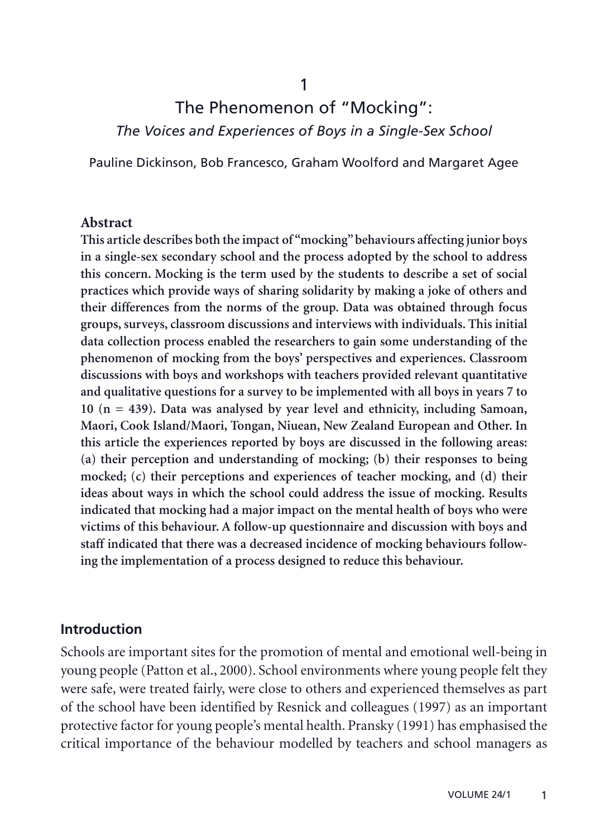1

# The Phenomenon of "Mocking": *The Voices and Experiences of Boys in a Single-Sex School*

Pauline Dickinson, Bob Francesco, Graham Woolford and Margaret Agee

#### **Abstract**

**This article describes both the impact of "mocking" behaviours affecting junior boys in a single-sex secondary school and the process adopted by the school to address this concern. Mocking is the term used by the students to describe a set of social practices which provide ways of sharing solidarity by making a joke of others and their differences from the norms of the group. Data was obtained through focus groups, surveys, classroom discussions and interviews with individuals. This initial data collection process enabled the researchers to gain some understanding of the phenomenon of mocking from the boys' perspectives and experiences. Classroom discussions with boys and workshops with teachers provided relevant quantitative and qualitative questions for a survey to be implemented with all boys in years 7 to 10 (n = 439). Data was analysed by year level and ethnicity, including Samoan, Maori, Cook Island/Maori, Tongan, Niuean, New Zealand European and Other. In this article the experiences reported by boys are discussed in the following areas: (a) their perception and understanding of mocking; (b) their responses to being mocked; (c) their perceptions and experiences of teacher mocking, and (d) their ideas about ways in which the school could address the issue of mocking. Results indicated that mocking had a major impact on the mental health of boys who were victims of this behaviour. A follow-up questionnaire and discussion with boys and staff indicated that there was a decreased incidence of mocking behaviours following the implementation of a process designed to reduce this behaviour.**

#### **Introduction**

Schools are important sites for the promotion of mental and emotional well-being in young people (Patton et al., 2000). School environments where young people felt they were safe, were treated fairly, were close to others and experienced themselves as part of the school have been identified by Resnick and colleagues (1997) as an important protective factor for young people's mental health. Pransky (1991) has emphasised the critical importance of the behaviour modelled by teachers and school managers as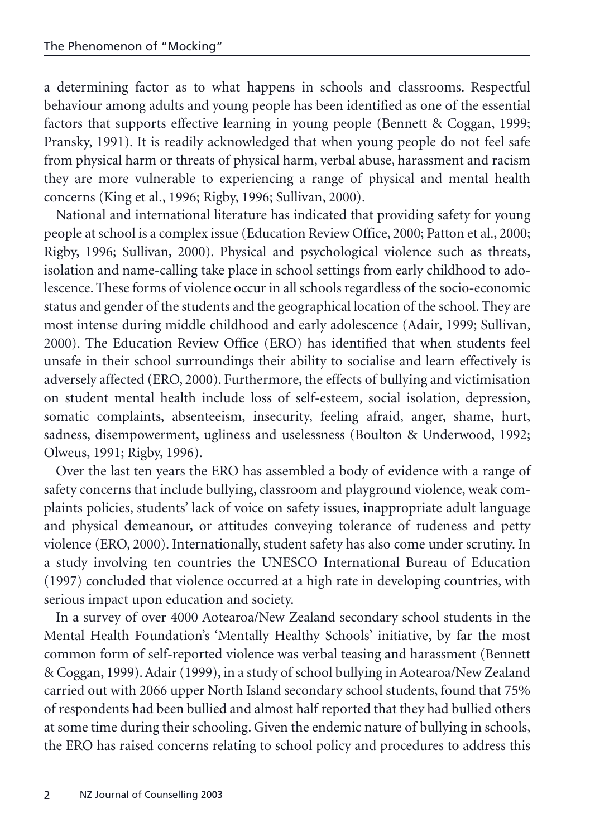a determining factor as to what happens in schools and classrooms. Respectful behaviour among adults and young people has been identified as one of the essential factors that supports effective learning in young people (Bennett & Coggan, 1999; Pransky, 1991). It is readily acknowledged that when young people do not feel safe from physical harm or threats of physical harm, verbal abuse, harassment and racism they are more vulnerable to experiencing a range of physical and mental health concerns (King et al., 1996; Rigby, 1996; Sullivan, 2000).

National and international literature has indicated that providing safety for young people at school is a complex issue (Education Review Office, 2000; Patton et al., 2000; Rigby, 1996; Sullivan, 2000). Physical and psychological violence such as threats, isolation and name-calling take place in school settings from early childhood to adolescence. These forms of violence occur in all schools regardless of the socio-economic status and gender of the students and the geographical location of the school. They are most intense during middle childhood and early adolescence (Adair, 1999; Sullivan, 2000). The Education Review Office (ERO) has identified that when students feel unsafe in their school surroundings their ability to socialise and learn effectively is adversely affected (ERO, 2000). Furthermore, the effects of bullying and victimisation on student mental health include loss of self-esteem, social isolation, depression, somatic complaints, absenteeism, insecurity, feeling afraid, anger, shame, hurt, sadness, disempowerment, ugliness and uselessness (Boulton & Underwood, 1992; Olweus, 1991; Rigby, 1996).

Over the last ten years the ERO has assembled a body of evidence with a range of safety concerns that include bullying, classroom and playground violence, weak complaints policies, students' lack of voice on safety issues, inappropriate adult language and physical demeanour, or attitudes conveying tolerance of rudeness and petty violence (ERO, 2000). Internationally, student safety has also come under scrutiny. In a study involving ten countries the UNESCO International Bureau of Education (1997) concluded that violence occurred at a high rate in developing countries, with serious impact upon education and society.

In a survey of over 4000 Aotearoa/New Zealand secondary school students in the Mental Health Foundation's 'Mentally Healthy Schools' initiative, by far the most common form of self-reported violence was verbal teasing and harassment (Bennett & Coggan, 1999). Adair (1999), in a study of school bullying in Aotearoa/New Zealand carried out with 2066 upper North Island secondary school students, found that 75% of respondents had been bullied and almost half reported that they had bullied others at some time during their schooling. Given the endemic nature of bullying in schools, the ERO has raised concerns relating to school policy and procedures to address this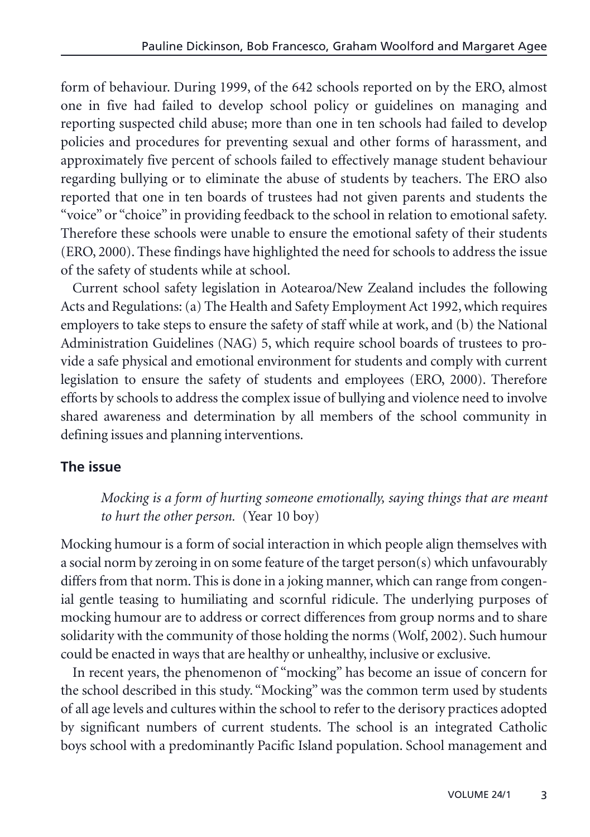form of behaviour. During 1999, of the 642 schools reported on by the ERO, almost one in five had failed to develop school policy or guidelines on managing and reporting suspected child abuse; more than one in ten schools had failed to develop policies and procedures for preventing sexual and other forms of harassment, and approximately five percent of schools failed to effectively manage student behaviour regarding bullying or to eliminate the abuse of students by teachers. The ERO also reported that one in ten boards of trustees had not given parents and students the "voice" or "choice" in providing feedback to the school in relation to emotional safety. Therefore these schools were unable to ensure the emotional safety of their students (ERO, 2000). These findings have highlighted the need for schools to address the issue of the safety of students while at school.

Current school safety legislation in Aotearoa/New Zealand includes the following Acts and Regulations: (a) The Health and Safety Employment Act 1992, which requires employers to take steps to ensure the safety of staff while at work, and (b) the National Administration Guidelines (NAG) 5, which require school boards of trustees to provide a safe physical and emotional environment for students and comply with current legislation to ensure the safety of students and employees (ERO, 2000). Therefore efforts by schools to address the complex issue of bullying and violence need to involve shared awareness and determination by all members of the school community in defining issues and planning interventions.

## **The issue**

*Mocking is a form of hurting someone emotionally, saying things that are meant to hurt the other person.* (Year 10 boy)

Mocking humour is a form of social interaction in which people align themselves with a social norm by zeroing in on some feature of the target person(s) which unfavourably differs from that norm. This is done in a joking manner, which can range from congenial gentle teasing to humiliating and scornful ridicule. The underlying purposes of mocking humour are to address or correct differences from group norms and to share solidarity with the community of those holding the norms (Wolf, 2002). Such humour could be enacted in ways that are healthy or unhealthy, inclusive or exclusive.

In recent years, the phenomenon of "mocking" has become an issue of concern for the school described in this study. "Mocking" was the common term used by students of all age levels and cultures within the school to refer to the derisory practices adopted by significant numbers of current students. The school is an integrated Catholic boys school with a predominantly Pacific Island population. School management and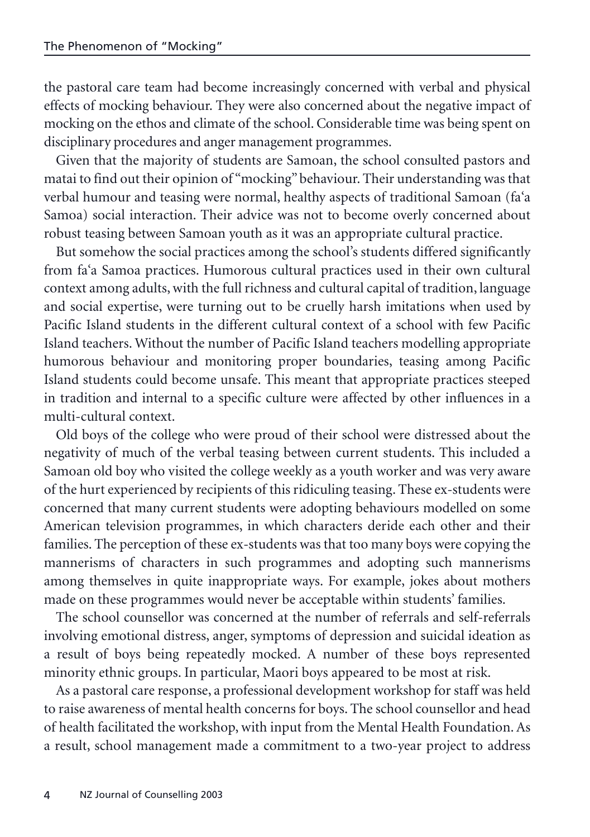the pastoral care team had become increasingly concerned with verbal and physical effects of mocking behaviour. They were also concerned about the negative impact of mocking on the ethos and climate of the school. Considerable time was being spent on disciplinary procedures and anger management programmes.

Given that the majority of students are Samoan, the school consulted pastors and matai to find out their opinion of "mocking" behaviour. Their understanding was that verbal humour and teasing were normal, healthy aspects of traditional Samoan (fa'a Samoa) social interaction. Their advice was not to become overly concerned about robust teasing between Samoan youth as it was an appropriate cultural practice.

But somehow the social practices among the school's students differed significantly from fa'a Samoa practices. Humorous cultural practices used in their own cultural context among adults, with the full richness and cultural capital of tradition, language and social expertise, were turning out to be cruelly harsh imitations when used by Pacific Island students in the different cultural context of a school with few Pacific Island teachers. Without the number of Pacific Island teachers modelling appropriate humorous behaviour and monitoring proper boundaries, teasing among Pacific Island students could become unsafe. This meant that appropriate practices steeped in tradition and internal to a specific culture were affected by other influences in a multi-cultural context.

Old boys of the college who were proud of their school were distressed about the negativity of much of the verbal teasing between current students. This included a Samoan old boy who visited the college weekly as a youth worker and was very aware of the hurt experienced by recipients of this ridiculing teasing. These ex-students were concerned that many current students were adopting behaviours modelled on some American television programmes, in which characters deride each other and their families. The perception of these ex-students was that too many boys were copying the mannerisms of characters in such programmes and adopting such mannerisms among themselves in quite inappropriate ways. For example, jokes about mothers made on these programmes would never be acceptable within students' families.

The school counsellor was concerned at the number of referrals and self-referrals involving emotional distress, anger, symptoms of depression and suicidal ideation as a result of boys being repeatedly mocked. A number of these boys represented minority ethnic groups. In particular, Maori boys appeared to be most at risk.

As a pastoral care response, a professional development workshop for staff was held to raise awareness of mental health concerns for boys. The school counsellor and head of health facilitated the workshop, with input from the Mental Health Foundation. As a result, school management made a commitment to a two-year project to address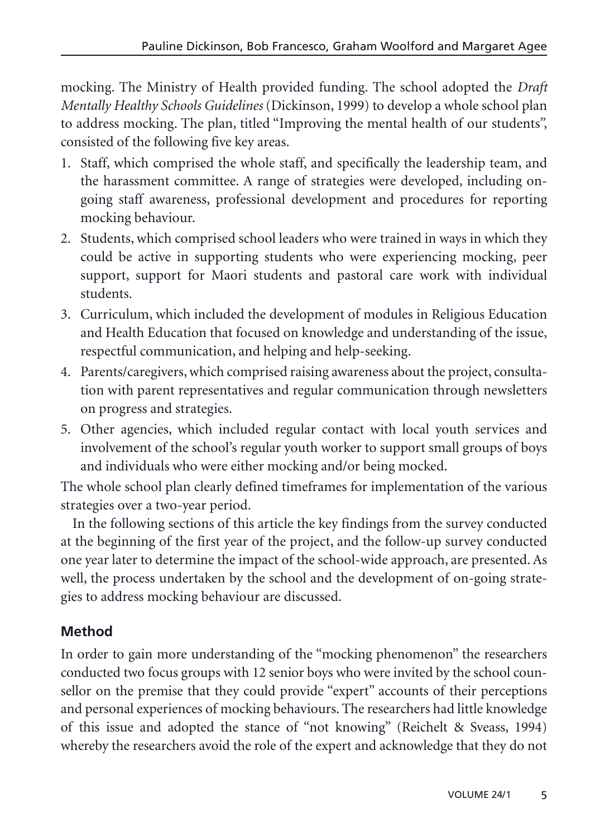mocking. The Ministry of Health provided funding. The school adopted the *Draft Mentally Healthy Schools Guidelines* (Dickinson, 1999) to develop a whole school plan to address mocking. The plan, titled "Improving the mental health of our students", consisted of the following five key areas.

- 1. Staff, which comprised the whole staff, and specifically the leadership team, and the harassment committee. A range of strategies were developed, including ongoing staff awareness, professional development and procedures for reporting mocking behaviour.
- 2. Students, which comprised school leaders who were trained in ways in which they could be active in supporting students who were experiencing mocking, peer support, support for Maori students and pastoral care work with individual students.
- 3. Curriculum, which included the development of modules in Religious Education and Health Education that focused on knowledge and understanding of the issue, respectful communication, and helping and help-seeking.
- 4. Parents/caregivers, which comprised raising awareness about the project, consultation with parent representatives and regular communication through newsletters on progress and strategies.
- 5. Other agencies, which included regular contact with local youth services and involvement of the school's regular youth worker to support small groups of boys and individuals who were either mocking and/or being mocked.

The whole school plan clearly defined timeframes for implementation of the various strategies over a two-year period.

In the following sections of this article the key findings from the survey conducted at the beginning of the first year of the project, and the follow-up survey conducted one year later to determine the impact of the school-wide approach, are presented. As well, the process undertaken by the school and the development of on-going strategies to address mocking behaviour are discussed.

# **Method**

In order to gain more understanding of the "mocking phenomenon" the researchers conducted two focus groups with 12 senior boys who were invited by the school counsellor on the premise that they could provide "expert" accounts of their perceptions and personal experiences of mocking behaviours. The researchers had little knowledge of this issue and adopted the stance of "not knowing" (Reichelt & Sveass, 1994) whereby the researchers avoid the role of the expert and acknowledge that they do not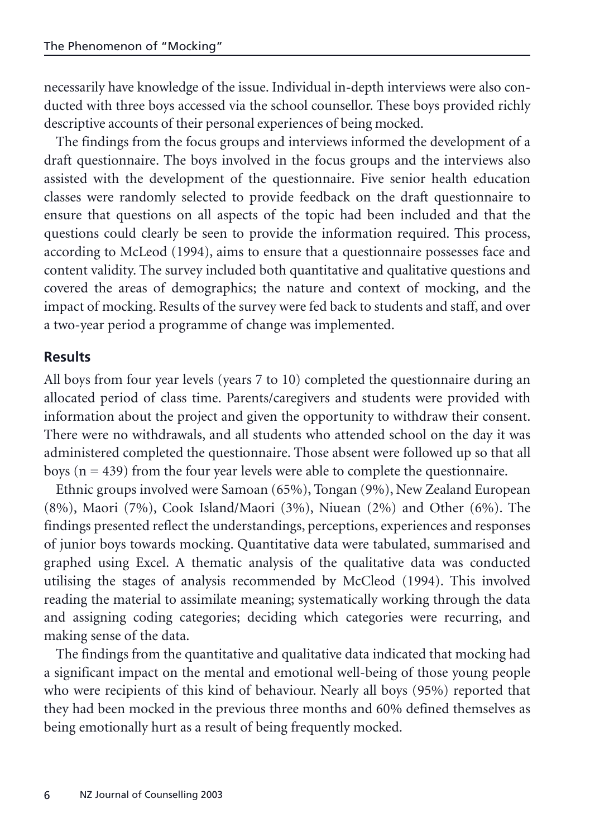necessarily have knowledge of the issue. Individual in-depth interviews were also conducted with three boys accessed via the school counsellor. These boys provided richly descriptive accounts of their personal experiences of being mocked.

The findings from the focus groups and interviews informed the development of a draft questionnaire. The boys involved in the focus groups and the interviews also assisted with the development of the questionnaire. Five senior health education classes were randomly selected to provide feedback on the draft questionnaire to ensure that questions on all aspects of the topic had been included and that the questions could clearly be seen to provide the information required. This process, according to McLeod (1994), aims to ensure that a questionnaire possesses face and content validity. The survey included both quantitative and qualitative questions and covered the areas of demographics; the nature and context of mocking, and the impact of mocking. Results of the survey were fed back to students and staff, and over a two-year period a programme of change was implemented.

### **Results**

All boys from four year levels (years 7 to 10) completed the questionnaire during an allocated period of class time. Parents/caregivers and students were provided with information about the project and given the opportunity to withdraw their consent. There were no withdrawals, and all students who attended school on the day it was administered completed the questionnaire. Those absent were followed up so that all boys ( $n = 439$ ) from the four year levels were able to complete the questionnaire.

Ethnic groups involved were Samoan (65%), Tongan (9%), New Zealand European (8%), Maori (7%), Cook Island/Maori (3%), Niuean (2%) and Other (6%). The findings presented reflect the understandings, perceptions, experiences and responses of junior boys towards mocking. Quantitative data were tabulated, summarised and graphed using Excel. A thematic analysis of the qualitative data was conducted utilising the stages of analysis recommended by McCleod (1994). This involved reading the material to assimilate meaning; systematically working through the data and assigning coding categories; deciding which categories were recurring, and making sense of the data.

The findings from the quantitative and qualitative data indicated that mocking had a significant impact on the mental and emotional well-being of those young people who were recipients of this kind of behaviour. Nearly all boys (95%) reported that they had been mocked in the previous three months and 60% defined themselves as being emotionally hurt as a result of being frequently mocked.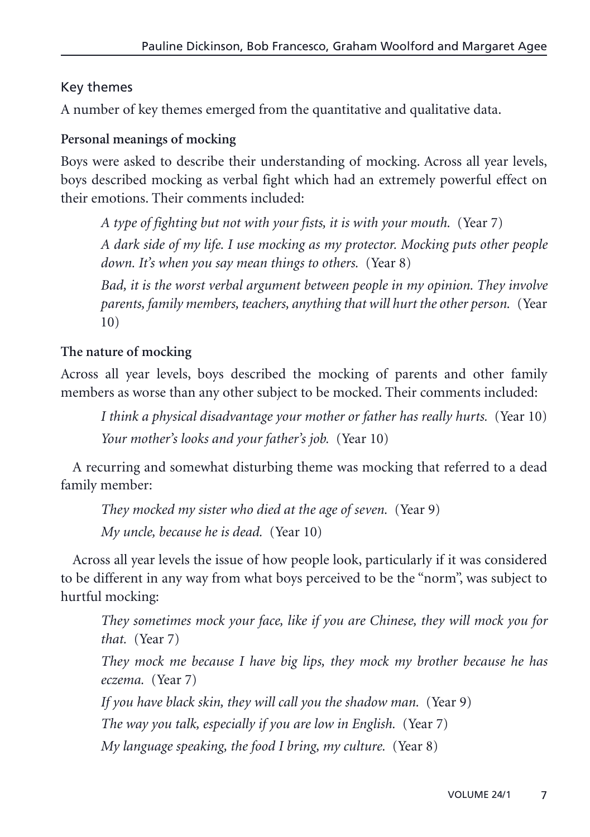## Key themes

A number of key themes emerged from the quantitative and qualitative data.

#### **Personal meanings of mocking**

Boys were asked to describe their understanding of mocking. Across all year levels, boys described mocking as verbal fight which had an extremely powerful effect on their emotions. Their comments included:

*A type of fighting but not with your fists, it is with your mouth.* (Year 7)

*A dark side of my life. I use mocking as my protector. Mocking puts other people down. It's when you say mean things to others.* (Year 8)

*Bad, it is the worst verbal argument between people in my opinion. They involve parents, family members, teachers, anything that will hurt the other person.* (Year 10)

## **The nature of mocking**

Across all year levels, boys described the mocking of parents and other family members as worse than any other subject to be mocked. Their comments included:

*I think a physical disadvantage your mother or father has really hurts.* (Year 10) *Your mother's looks and your father's job.* (Year 10)

A recurring and somewhat disturbing theme was mocking that referred to a dead family member:

*They mocked my sister who died at the age of seven.* (Year 9) *My uncle, because he is dead.* (Year 10)

Across all year levels the issue of how people look, particularly if it was considered to be different in any way from what boys perceived to be the "norm", was subject to hurtful mocking:

*They sometimes mock your face, like if you are Chinese, they will mock you for that.* (Year 7)

*They mock me because I have big lips, they mock my brother because he has eczema.* (Year 7)

*If you have black skin, they will call you the shadow man.* (Year 9)

*The way you talk, especially if you are low in English.* (Year 7)

*My language speaking, the food I bring, my culture.* (Year 8)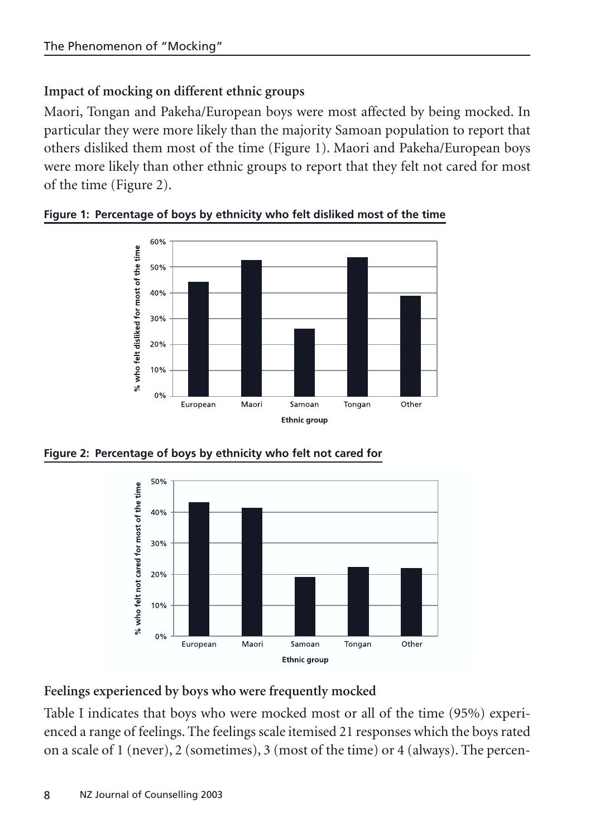## **Impact of mocking on different ethnic groups**

Maori, Tongan and Pakeha/European boys were most affected by being mocked. In particular they were more likely than the majority Samoan population to report that others disliked them most of the time (Figure 1). Maori and Pakeha/European boys were more likely than other ethnic groups to report that they felt not cared for most of the time (Figure 2).



**Figure 1: Percentage of boys by ethnicity who felt disliked most of the time**

**Figure 2: Percentage of boys by ethnicity who felt not cared for** 



## **Feelings experienced by boys who were frequently mocked**

Table I indicates that boys who were mocked most or all of the time (95%) experienced a range of feelings. The feelings scale itemised 21 responses which the boys rated on a scale of 1 (never), 2 (sometimes), 3 (most of the time) or 4 (always). The percen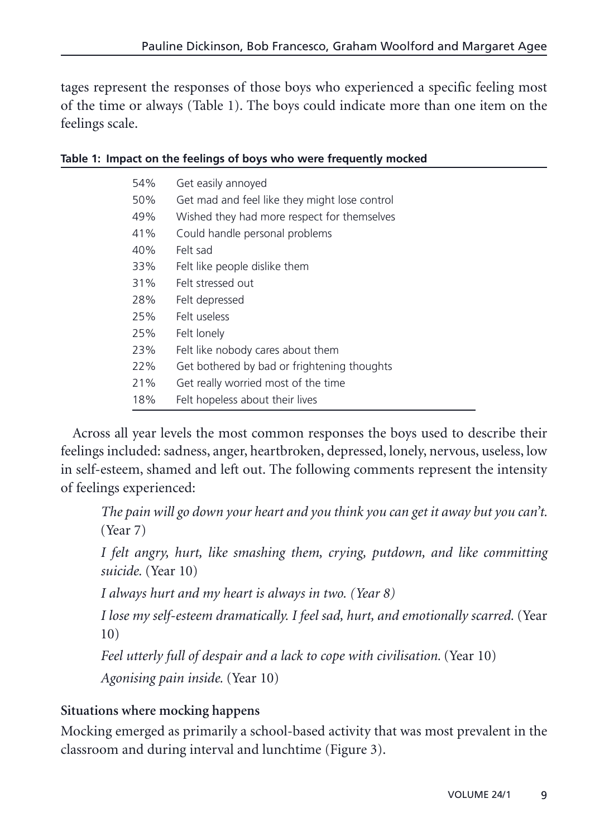tages represent the responses of those boys who experienced a specific feeling most of the time or always (Table 1). The boys could indicate more than one item on the feelings scale.

| 54% | Get easily annoyed                            |
|-----|-----------------------------------------------|
| 50% | Get mad and feel like they might lose control |
| 49% | Wished they had more respect for themselves   |
| 41% | Could handle personal problems                |
| 40% | Felt sad                                      |
| 33% | Felt like people dislike them                 |
| 31% | Felt stressed out                             |
| 28% | Felt depressed                                |
| 25% | Felt useless                                  |
| 25% | Felt lonely                                   |
| 23% | Felt like nobody cares about them             |
| 22% | Get bothered by bad or frightening thoughts   |
| 21% | Get really worried most of the time           |
| 18% | Felt hopeless about their lives               |

#### **Table 1: Impact on the feelings of boys who were frequently mocked**

Across all year levels the most common responses the boys used to describe their feelings included: sadness, anger, heartbroken, depressed, lonely, nervous, useless, low in self-esteem, shamed and left out. The following comments represent the intensity of feelings experienced:

*The pain will go down your heart and you think you can get it away but you can't.* (Year 7)

*I felt angry, hurt, like smashing them, crying, putdown, and like committing suicide.* (Year 10)

*I always hurt and my heart is always in two. (Year 8)*

*I lose my self-esteem dramatically. I feel sad, hurt, and emotionally scarred.* (Year 10)

*Feel utterly full of despair and a lack to cope with civilisation.* (Year 10) *Agonising pain inside.* (Year 10)

### **Situations where mocking happens**

Mocking emerged as primarily a school-based activity that was most prevalent in the classroom and during interval and lunchtime (Figure 3).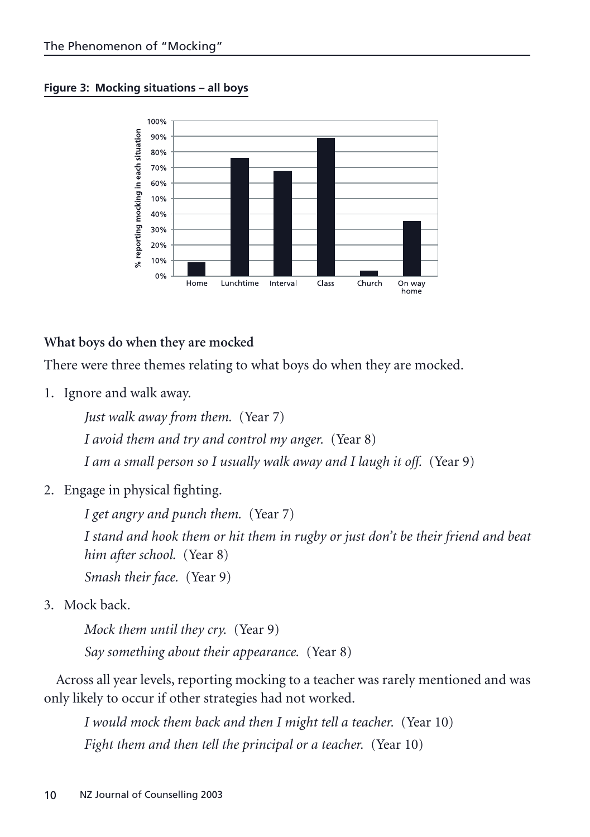**Figure 3: Mocking situations – all boys**



### **What boys do when they are mocked**

There were three themes relating to what boys do when they are mocked.

1. Ignore and walk away.

*Just walk away from them.* (Year 7) *I avoid them and try and control my anger.* (Year 8) *I am a small person so I usually walk away and I laugh it off.* (Year 9)

2. Engage in physical fighting.

*I get angry and punch them.* (Year 7) *I stand and hook them or hit them in rugby or just don't be their friend and beat him after school.* (Year 8) *Smash their face.* (Year 9)

3. Mock back.

*Mock them until they cry.* (Year 9) *Say something about their appearance.* (Year 8)

Across all year levels, reporting mocking to a teacher was rarely mentioned and was only likely to occur if other strategies had not worked.

*I would mock them back and then I might tell a teacher.* (Year 10) *Fight them and then tell the principal or a teacher.* (Year 10)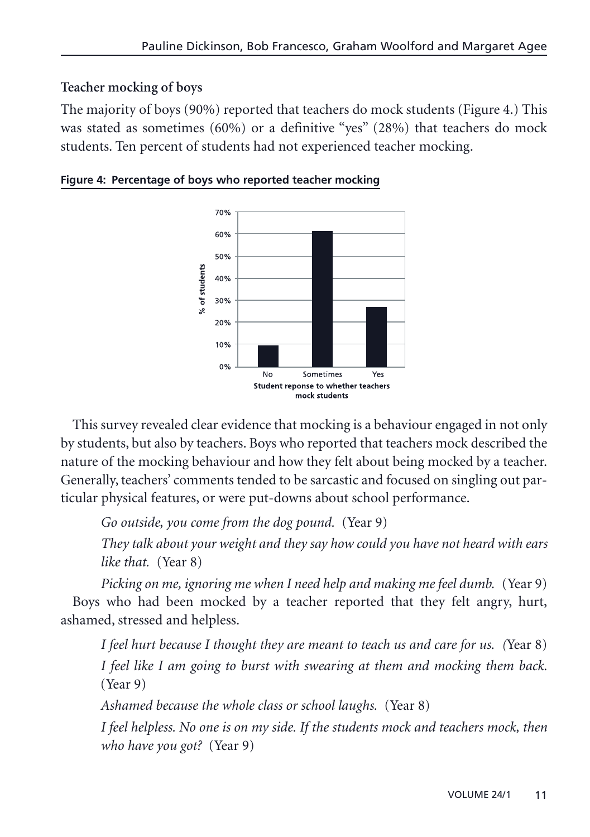## **Teacher mocking of boys**

The majority of boys (90%) reported that teachers do mock students (Figure 4.) This was stated as sometimes (60%) or a definitive "yes" (28%) that teachers do mock students. Ten percent of students had not experienced teacher mocking.



**Figure 4: Percentage of boys who reported teacher mocking**

This survey revealed clear evidence that mocking is a behaviour engaged in not only by students, but also by teachers. Boys who reported that teachers mock described the nature of the mocking behaviour and how they felt about being mocked by a teacher. Generally, teachers' comments tended to be sarcastic and focused on singling out particular physical features, or were put-downs about school performance.

*Go outside, you come from the dog pound.* (Year 9)

*They talk about your weight and they say how could you have not heard with ears like that.* (Year 8)

*Picking on me, ignoring me when I need help and making me feel dumb.* (Year 9) Boys who had been mocked by a teacher reported that they felt angry, hurt, ashamed, stressed and helpless.

*I feel hurt because I thought they are meant to teach us and care for us. (*Year 8) *I feel like I am going to burst with swearing at them and mocking them back.* (Year 9)

*Ashamed because the whole class or school laughs.* (Year 8)

*I feel helpless. No one is on my side. If the students mock and teachers mock, then who have you got?* (Year 9)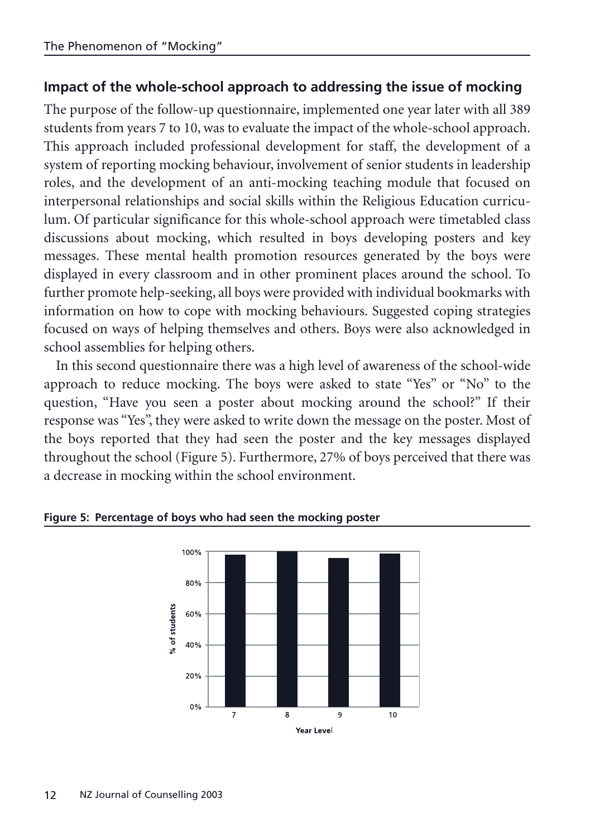## **Impact of the whole-school approach to addressing the issue of mocking**

The purpose of the follow-up questionnaire, implemented one year later with all 389 students from years 7 to 10, was to evaluate the impact of the whole-school approach. This approach included professional development for staff, the development of a system of reporting mocking behaviour, involvement of senior students in leadership roles, and the development of an anti-mocking teaching module that focused on interpersonal relationships and social skills within the Religious Education curriculum. Of particular significance for this whole-school approach were timetabled class discussions about mocking, which resulted in boys developing posters and key messages. These mental health promotion resources generated by the boys were displayed in every classroom and in other prominent places around the school. To further promote help-seeking, all boys were provided with individual bookmarks with information on how to cope with mocking behaviours. Suggested coping strategies focused on ways of helping themselves and others. Boys were also acknowledged in school assemblies for helping others.

In this second questionnaire there was a high level of awareness of the school-wide approach to reduce mocking. The boys were asked to state "Yes" or "No" to the question, "Have you seen a poster about mocking around the school?" If their response was "Yes", they were asked to write down the message on the poster. Most of the boys reported that they had seen the poster and the key messages displayed throughout the school (Figure 5). Furthermore, 27% of boys perceived that there was a decrease in mocking within the school environment.



**Figure 5: Percentage of boys who had seen the mocking poster**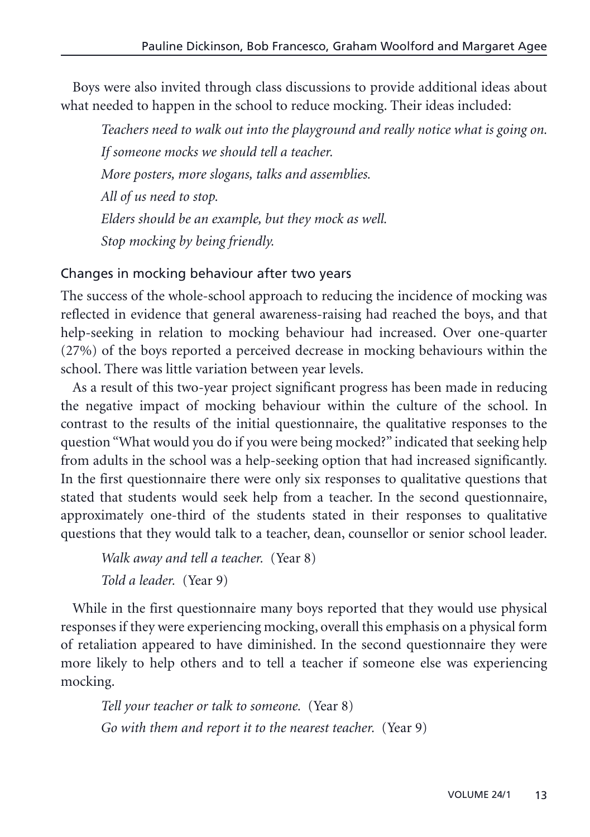Boys were also invited through class discussions to provide additional ideas about what needed to happen in the school to reduce mocking. Their ideas included:

*Teachers need to walk out into the playground and really notice what is going on. If someone mocks we should tell a teacher. More posters, more slogans, talks and assemblies. All of us need to stop. Elders should be an example, but they mock as well. Stop mocking by being friendly.*

### Changes in mocking behaviour after two years

The success of the whole-school approach to reducing the incidence of mocking was reflected in evidence that general awareness-raising had reached the boys, and that help-seeking in relation to mocking behaviour had increased. Over one-quarter (27%) of the boys reported a perceived decrease in mocking behaviours within the school. There was little variation between year levels.

As a result of this two-year project significant progress has been made in reducing the negative impact of mocking behaviour within the culture of the school. In contrast to the results of the initial questionnaire, the qualitative responses to the question "What would you do if you were being mocked?" indicated that seeking help from adults in the school was a help-seeking option that had increased significantly. In the first questionnaire there were only six responses to qualitative questions that stated that students would seek help from a teacher. In the second questionnaire, approximately one-third of the students stated in their responses to qualitative questions that they would talk to a teacher, dean, counsellor or senior school leader.

```
Walk away and tell a teacher. (Year 8) 
Told a leader. (Year 9)
```
While in the first questionnaire many boys reported that they would use physical responses if they were experiencing mocking, overall this emphasis on a physical form of retaliation appeared to have diminished. In the second questionnaire they were more likely to help others and to tell a teacher if someone else was experiencing mocking.

*Tell your teacher or talk to someone.* (Year 8) *Go with them and report it to the nearest teacher.* (Year 9)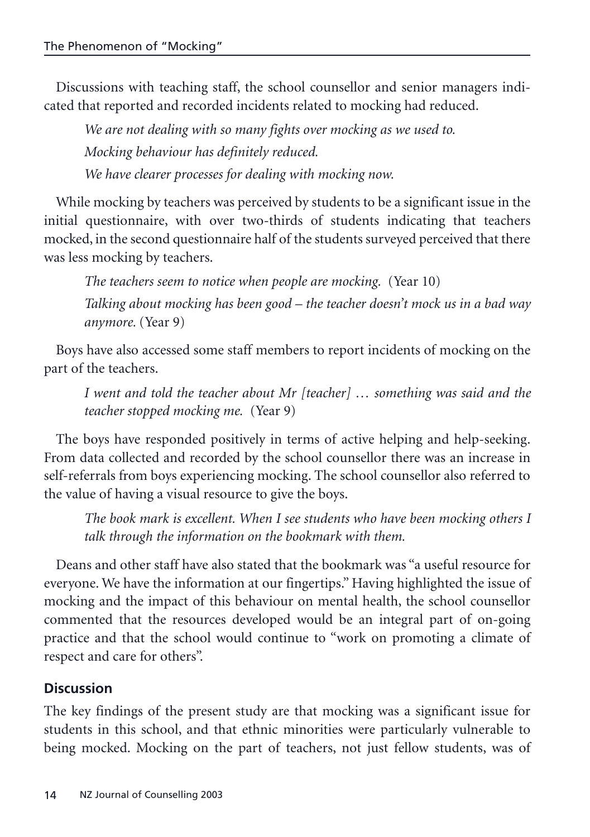Discussions with teaching staff, the school counsellor and senior managers indicated that reported and recorded incidents related to mocking had reduced.

*We are not dealing with so many fights over mocking as we used to. Mocking behaviour has definitely reduced. We have clearer processes for dealing with mocking now.*

While mocking by teachers was perceived by students to be a significant issue in the initial questionnaire, with over two-thirds of students indicating that teachers mocked, in the second questionnaire half of the students surveyed perceived that there was less mocking by teachers.

*The teachers seem to notice when people are mocking.* (Year 10) *Talking about mocking has been good – the teacher doesn't mock us in a bad way anymore.* (Year 9)

Boys have also accessed some staff members to report incidents of mocking on the part of the teachers.

*I went and told the teacher about Mr [teacher] … something was said and the teacher stopped mocking me.* (Year 9)

The boys have responded positively in terms of active helping and help-seeking. From data collected and recorded by the school counsellor there was an increase in self-referrals from boys experiencing mocking. The school counsellor also referred to the value of having a visual resource to give the boys.

*The book mark is excellent. When I see students who have been mocking others I talk through the information on the bookmark with them.*

Deans and other staff have also stated that the bookmark was "a useful resource for everyone. We have the information at our fingertips." Having highlighted the issue of mocking and the impact of this behaviour on mental health, the school counsellor commented that the resources developed would be an integral part of on-going practice and that the school would continue to "work on promoting a climate of respect and care for others".

## **Discussion**

The key findings of the present study are that mocking was a significant issue for students in this school, and that ethnic minorities were particularly vulnerable to being mocked. Mocking on the part of teachers, not just fellow students, was of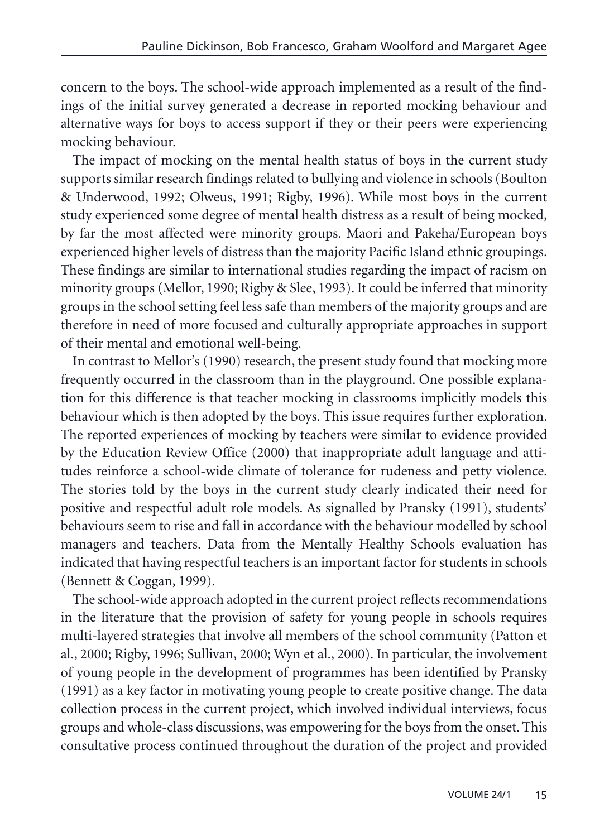concern to the boys. The school-wide approach implemented as a result of the findings of the initial survey generated a decrease in reported mocking behaviour and alternative ways for boys to access support if they or their peers were experiencing mocking behaviour.

The impact of mocking on the mental health status of boys in the current study supports similar research findings related to bullying and violence in schools (Boulton & Underwood, 1992; Olweus, 1991; Rigby, 1996). While most boys in the current study experienced some degree of mental health distress as a result of being mocked, by far the most affected were minority groups. Maori and Pakeha/European boys experienced higher levels of distress than the majority Pacific Island ethnic groupings. These findings are similar to international studies regarding the impact of racism on minority groups (Mellor, 1990; Rigby & Slee, 1993). It could be inferred that minority groups in the school setting feel less safe than members of the majority groups and are therefore in need of more focused and culturally appropriate approaches in support of their mental and emotional well-being.

In contrast to Mellor's (1990) research, the present study found that mocking more frequently occurred in the classroom than in the playground. One possible explanation for this difference is that teacher mocking in classrooms implicitly models this behaviour which is then adopted by the boys. This issue requires further exploration. The reported experiences of mocking by teachers were similar to evidence provided by the Education Review Office (2000) that inappropriate adult language and attitudes reinforce a school-wide climate of tolerance for rudeness and petty violence. The stories told by the boys in the current study clearly indicated their need for positive and respectful adult role models. As signalled by Pransky (1991), students' behaviours seem to rise and fall in accordance with the behaviour modelled by school managers and teachers. Data from the Mentally Healthy Schools evaluation has indicated that having respectful teachers is an important factor for students in schools (Bennett & Coggan, 1999).

The school-wide approach adopted in the current project reflects recommendations in the literature that the provision of safety for young people in schools requires multi-layered strategies that involve all members of the school community (Patton et al., 2000; Rigby, 1996; Sullivan, 2000; Wyn et al., 2000). In particular, the involvement of young people in the development of programmes has been identified by Pransky (1991) as a key factor in motivating young people to create positive change. The data collection process in the current project, which involved individual interviews, focus groups and whole-class discussions, was empowering for the boys from the onset. This consultative process continued throughout the duration of the project and provided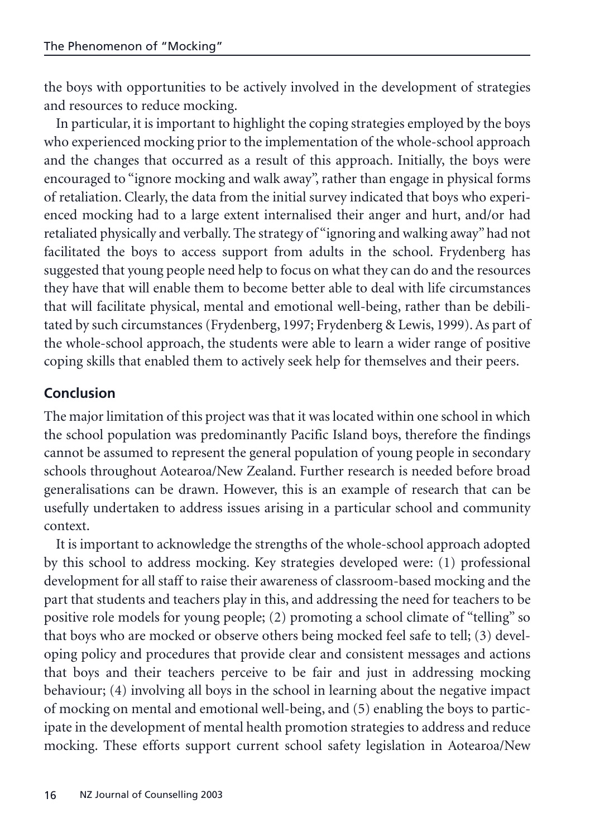the boys with opportunities to be actively involved in the development of strategies and resources to reduce mocking.

In particular, it is important to highlight the coping strategies employed by the boys who experienced mocking prior to the implementation of the whole-school approach and the changes that occurred as a result of this approach. Initially, the boys were encouraged to "ignore mocking and walk away", rather than engage in physical forms of retaliation. Clearly, the data from the initial survey indicated that boys who experienced mocking had to a large extent internalised their anger and hurt, and/or had retaliated physically and verbally. The strategy of "ignoring and walking away" had not facilitated the boys to access support from adults in the school. Frydenberg has suggested that young people need help to focus on what they can do and the resources they have that will enable them to become better able to deal with life circumstances that will facilitate physical, mental and emotional well-being, rather than be debilitated by such circumstances (Frydenberg, 1997; Frydenberg & Lewis, 1999). As part of the whole-school approach, the students were able to learn a wider range of positive coping skills that enabled them to actively seek help for themselves and their peers.

## **Conclusion**

The major limitation of this project was that it was located within one school in which the school population was predominantly Pacific Island boys, therefore the findings cannot be assumed to represent the general population of young people in secondary schools throughout Aotearoa/New Zealand. Further research is needed before broad generalisations can be drawn. However, this is an example of research that can be usefully undertaken to address issues arising in a particular school and community context.

It is important to acknowledge the strengths of the whole-school approach adopted by this school to address mocking. Key strategies developed were: (1) professional development for all staff to raise their awareness of classroom-based mocking and the part that students and teachers play in this, and addressing the need for teachers to be positive role models for young people; (2) promoting a school climate of "telling" so that boys who are mocked or observe others being mocked feel safe to tell; (3) developing policy and procedures that provide clear and consistent messages and actions that boys and their teachers perceive to be fair and just in addressing mocking behaviour; (4) involving all boys in the school in learning about the negative impact of mocking on mental and emotional well-being, and (5) enabling the boys to participate in the development of mental health promotion strategies to address and reduce mocking. These efforts support current school safety legislation in Aotearoa/New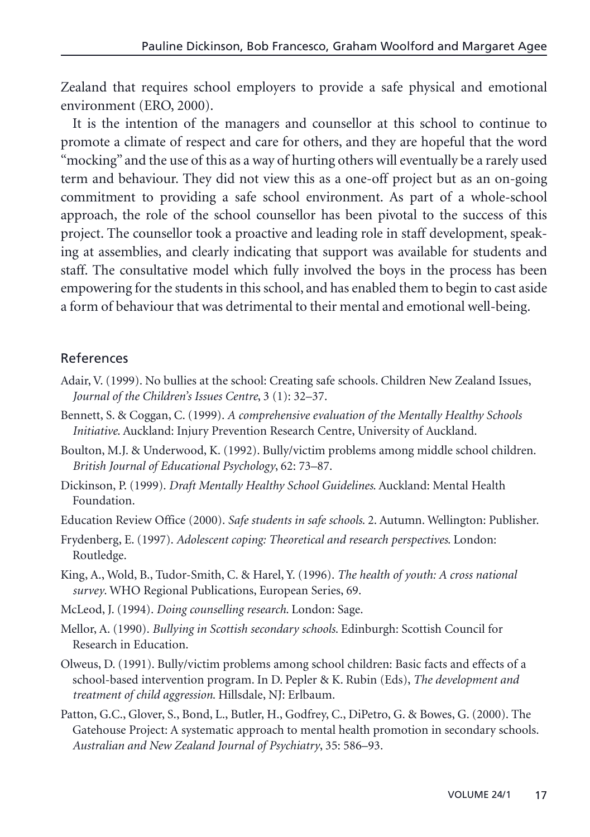Zealand that requires school employers to provide a safe physical and emotional environment (ERO, 2000).

It is the intention of the managers and counsellor at this school to continue to promote a climate of respect and care for others, and they are hopeful that the word "mocking" and the use of this as a way of hurting others will eventually be a rarely used term and behaviour. They did not view this as a one-off project but as an on-going commitment to providing a safe school environment. As part of a whole-school approach, the role of the school counsellor has been pivotal to the success of this project. The counsellor took a proactive and leading role in staff development, speaking at assemblies, and clearly indicating that support was available for students and staff. The consultative model which fully involved the boys in the process has been empowering for the students in this school, and has enabled them to begin to cast aside a form of behaviour that was detrimental to their mental and emotional well-being.

#### References

- Adair, V. (1999). No bullies at the school: Creating safe schools. Children New Zealand Issues, *Journal of the Children's Issues Centre*, 3 (1): 32–37.
- Bennett, S. & Coggan, C. (1999). *A comprehensive evaluation of the Mentally Healthy Schools Initiative*. Auckland: Injury Prevention Research Centre, University of Auckland.
- Boulton, M.J. & Underwood, K. (1992). Bully/victim problems among middle school children. *British Journal of Educational Psychology*, 62: 73–87.
- Dickinson, P. (1999). *Draft Mentally Healthy School Guidelines*. Auckland: Mental Health Foundation.
- Education Review Office (2000). *Safe students in safe schools*. 2. Autumn. Wellington: Publisher.
- Frydenberg, E. (1997). *Adolescent coping: Theoretical and research perspectives*. London: Routledge.
- King, A., Wold, B., Tudor-Smith, C. & Harel, Y. (1996). *The health of youth: A cross national survey*. WHO Regional Publications, European Series, 69.
- McLeod, J. (1994). *Doing counselling research*. London: Sage.
- Mellor, A. (1990). *Bullying in Scottish secondary schools*. Edinburgh: Scottish Council for Research in Education.
- Olweus, D. (1991). Bully/victim problems among school children: Basic facts and effects of a school-based intervention program. In D. Pepler & K. Rubin (Eds), *The development and treatment of child aggression*. Hillsdale, NJ: Erlbaum.
- Patton, G.C., Glover, S., Bond, L., Butler, H., Godfrey, C., DiPetro, G. & Bowes, G. (2000). The Gatehouse Project: A systematic approach to mental health promotion in secondary schools. *Australian and New Zealand Journal of Psychiatry*, 35: 586–93.